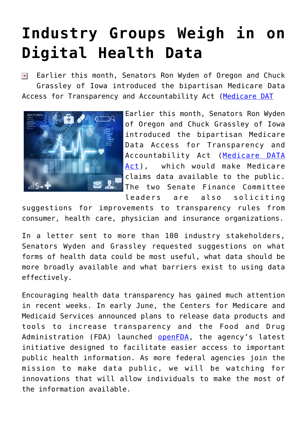## **[Industry Groups Weigh in on](https://www.cns-inc.com/insights/thought-leadership/industry-groups-weigh-in-on-digital-health-data/) [Digital Health Data](https://www.cns-inc.com/insights/thought-leadership/industry-groups-weigh-in-on-digital-health-data/)**

Earlier this month, Senators Ron Wyden of Oregon and Chuck  $\pmb{\times}$ Grassley of Iowa introduced the bipartisan Medicare Data Access for Transparency and Accountability Act ([Medicare DAT](http://www.wyden.senate.gov/news/press-releases/grassley-wyden-introduce-medicare-claims-data-transparency-legislation)



Earlier this month, Senators Ron Wyden of Oregon and Chuck Grassley of Iowa introduced the bipartisan Medicare Data Access for Transparency and Accountability Act ([Medicare DATA](http://www.wyden.senate.gov/news/press-releases/grassley-wyden-introduce-medicare-claims-data-transparency-legislation) [Act\)](http://www.wyden.senate.gov/news/press-releases/grassley-wyden-introduce-medicare-claims-data-transparency-legislation), which would make Medicare claims data available to the public. The two Senate Finance Committee leaders are also soliciting

suggestions for improvements to transparency rules from consumer, health care, physician and insurance organizations.

In a letter sent to more than 100 industry stakeholders, Senators Wyden and Grassley requested suggestions on what forms of health data could be most useful, what data should be more broadly available and what barriers exist to using data effectively.

Encouraging health data transparency has gained much attention in recent weeks. In early June, the Centers for Medicare and Medicaid Services announced plans to release data products and tools to increase transparency and the Food and Drug Administration (FDA) launched [openFDA,](http://open.fda.gov/) the agency's latest initiative designed to facilitate easier access to important public health information. As more federal agencies join the mission to make data public, we will be watching for innovations that will allow individuals to make the most of the information available.